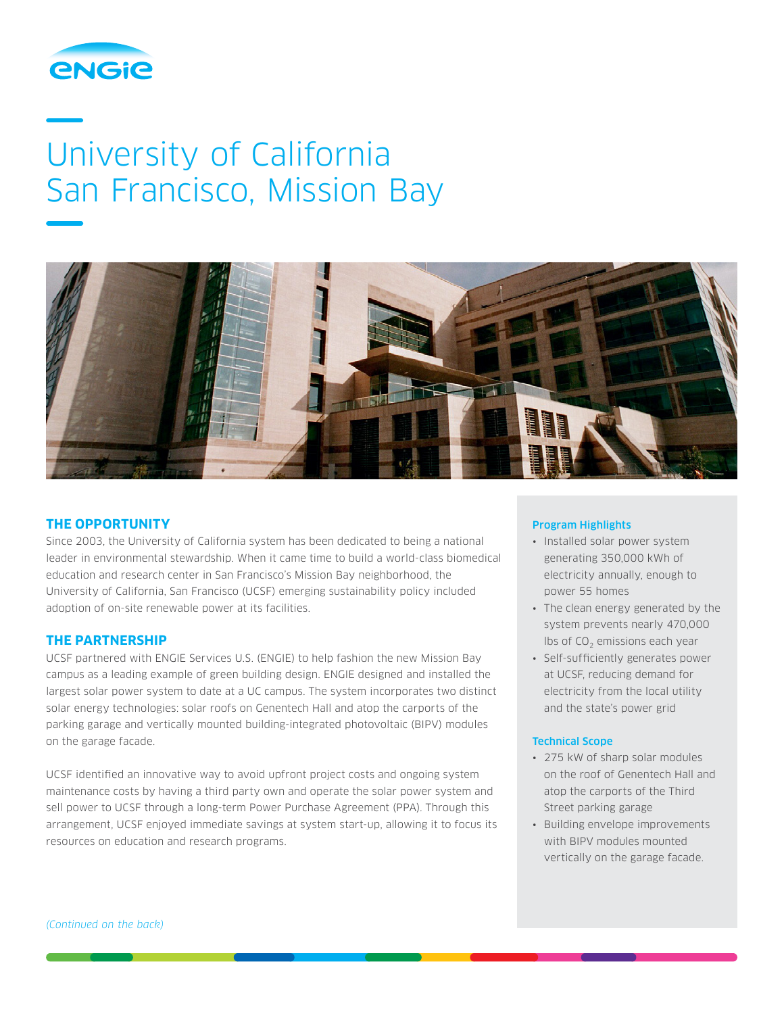

# University of California San Francisco, Mission Bay



### **THE OPPORTUNITY**

Since 2003, the University of California system has been dedicated to being a national leader in environmental stewardship. When it came time to build a world-class biomedical education and research center in San Francisco's Mission Bay neighborhood, the University of California, San Francisco (UCSF) emerging sustainability policy included adoption of on-site renewable power at its facilities.

## **THE PARTNERSHIP**

UCSF partnered with ENGIE Services U.S. (ENGIE) to help fashion the new Mission Bay campus as a leading example of green building design. ENGIE designed and installed the largest solar power system to date at a UC campus. The system incorporates two distinct solar energy technologies: solar roofs on Genentech Hall and atop the carports of the parking garage and vertically mounted building-integrated photovoltaic (BIPV) modules on the garage facade.

UCSF identified an innovative way to avoid upfront project costs and ongoing system maintenance costs by having a third party own and operate the solar power system and sell power to UCSF through a long-term Power Purchase Agreement (PPA). Through this arrangement, UCSF enjoyed immediate savings at system start-up, allowing it to focus its resources on education and research programs.

#### Program Highlights

- Installed solar power system generating 350,000 kWh of electricity annually, enough to power 55 homes
- The clean energy generated by the system prevents nearly 470,000 lbs of  $CO<sub>2</sub>$  emissions each year
- Self-sufficiently generates power at UCSF, reducing demand for electricity from the local utility and the state's power grid

#### Technical Scope

- 275 kW of sharp solar modules on the roof of Genentech Hall and atop the carports of the Third Street parking garage
- Building envelope improvements with BIPV modules mounted vertically on the garage facade.

*(Continued on the back)*